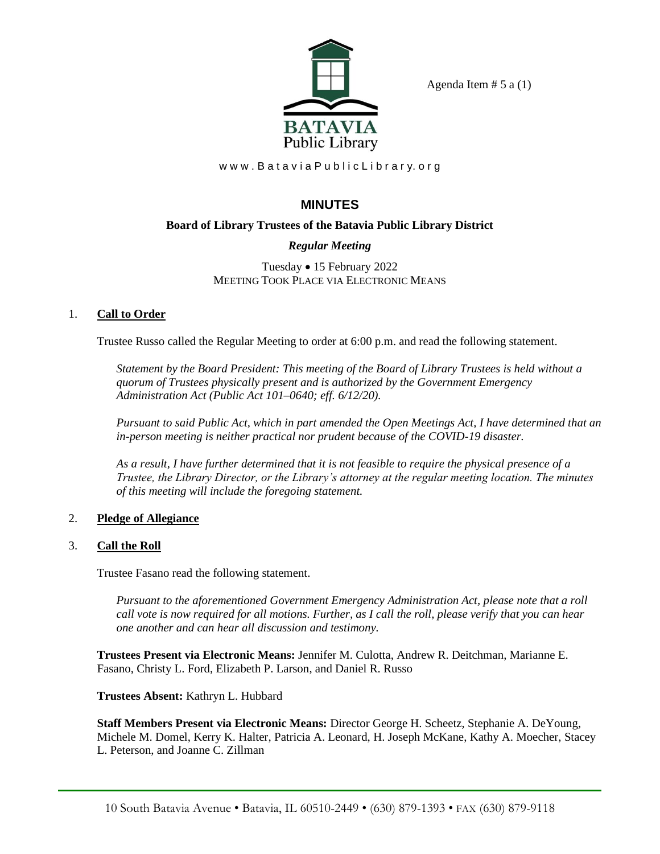

Agenda Item  $# 5$  a  $(1)$ 

www.BataviaPublicLibrary.org

# **MINUTES**

# **Board of Library Trustees of the Batavia Public Library District**

# *Regular Meeting*

Tuesday • 15 February 2022 MEETING TOOK PLACE VIA ELECTRONIC MEANS

# 1. **Call to Order**

Trustee Russo called the Regular Meeting to order at 6:00 p.m. and read the following statement.

*Statement by the Board President: This meeting of the Board of Library Trustees is held without a quorum of Trustees physically present and is authorized by the Government Emergency Administration Act (Public Act 101–0640; eff. 6/12/20).*

*Pursuant to said Public Act, which in part amended the Open Meetings Act, I have determined that an in-person meeting is neither practical nor prudent because of the COVID-19 disaster.* 

*As a result, I have further determined that it is not feasible to require the physical presence of a Trustee, the Library Director, or the Library's attorney at the regular meeting location. The minutes of this meeting will include the foregoing statement.*

### 2. **Pledge of Allegiance**

### 3. **Call the Roll**

Trustee Fasano read the following statement.

*Pursuant to the aforementioned Government Emergency Administration Act, please note that a roll call vote is now required for all motions. Further, as I call the roll, please verify that you can hear one another and can hear all discussion and testimony.*

**Trustees Present via Electronic Means:** Jennifer M. Culotta, Andrew R. Deitchman, Marianne E. Fasano, Christy L. Ford, Elizabeth P. Larson, and Daniel R. Russo

**Trustees Absent:** Kathryn L. Hubbard

**Staff Members Present via Electronic Means:** Director George H. Scheetz, Stephanie A. DeYoung, Michele M. Domel, Kerry K. Halter, Patricia A. Leonard, H. Joseph McKane, Kathy A. Moecher, Stacey L. Peterson, and Joanne C. Zillman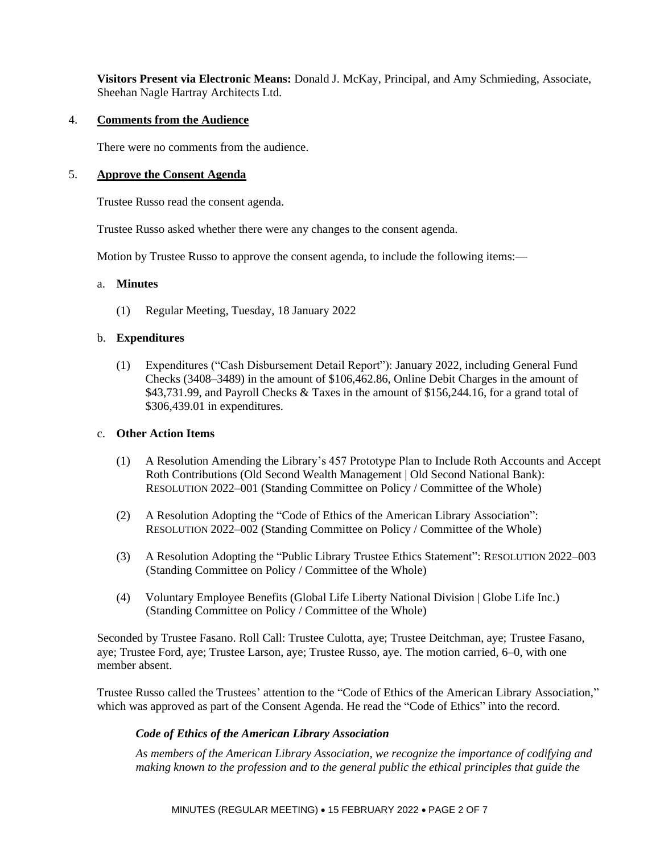**Visitors Present via Electronic Means:** Donald J. McKay, Principal, and Amy Schmieding, Associate, Sheehan Nagle Hartray Architects Ltd.

#### 4. **Comments from the Audience**

There were no comments from the audience.

#### 5. **Approve the Consent Agenda**

Trustee Russo read the consent agenda.

Trustee Russo asked whether there were any changes to the consent agenda.

Motion by Trustee Russo to approve the consent agenda, to include the following items:—

#### a. **Minutes**

(1) Regular Meeting, Tuesday, 18 January 2022

#### b. **Expenditures**

(1) Expenditures ("Cash Disbursement Detail Report"): January 2022, including General Fund Checks (3408–3489) in the amount of \$106,462.86, Online Debit Charges in the amount of \$43,731.99, and Payroll Checks & Taxes in the amount of \$156,244.16, for a grand total of \$306,439.01 in expenditures.

#### c. **Other Action Items**

- (1) A Resolution Amending the Library's 457 Prototype Plan to Include Roth Accounts and Accept Roth Contributions (Old Second Wealth Management | Old Second National Bank): RESOLUTION 2022–001 (Standing Committee on Policy / Committee of the Whole)
- (2) A Resolution Adopting the "Code of Ethics of the American Library Association": RESOLUTION 2022–002 (Standing Committee on Policy / Committee of the Whole)
- (3) A Resolution Adopting the "Public Library Trustee Ethics Statement": RESOLUTION 2022–003 (Standing Committee on Policy / Committee of the Whole)
- (4) Voluntary Employee Benefits (Global Life Liberty National Division | Globe Life Inc.) (Standing Committee on Policy / Committee of the Whole)

Seconded by Trustee Fasano. Roll Call: Trustee Culotta, aye; Trustee Deitchman, aye; Trustee Fasano, aye; Trustee Ford, aye; Trustee Larson, aye; Trustee Russo, aye. The motion carried, 6–0, with one member absent.

Trustee Russo called the Trustees' attention to the "Code of Ethics of the American Library Association," which was approved as part of the Consent Agenda. He read the "Code of Ethics" into the record.

#### *Code of Ethics of the American Library Association*

*As members of the American Library Association, we recognize the importance of codifying and making known to the profession and to the general public the ethical principles that guide the*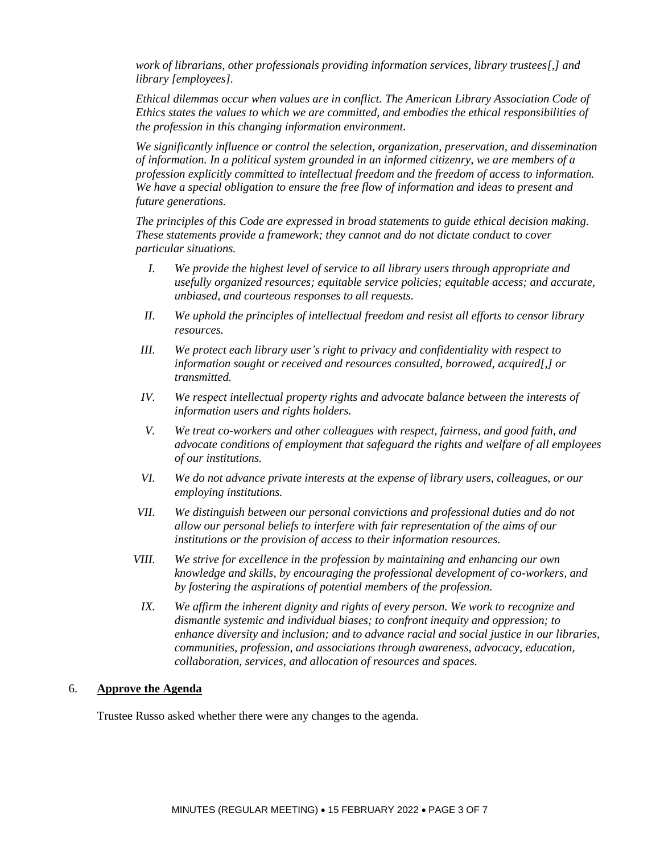*work of librarians, other professionals providing information services, library trustees[,] and library [employees].*

*Ethical dilemmas occur when values are in conflict. The American Library Association Code of Ethics states the values to which we are committed, and embodies the ethical responsibilities of the profession in this changing information environment.*

*We significantly influence or control the selection, organization, preservation, and dissemination of information. In a political system grounded in an informed citizenry, we are members of a profession explicitly committed to intellectual freedom and the freedom of access to information. We have a special obligation to ensure the free flow of information and ideas to present and future generations.*

*The principles of this Code are expressed in broad statements to guide ethical decision making. These statements provide a framework; they cannot and do not dictate conduct to cover particular situations.*

- *I. We provide the highest level of service to all library users through appropriate and usefully organized resources; equitable service policies; equitable access; and accurate, unbiased, and courteous responses to all requests.*
- *II. We uphold the principles of intellectual freedom and resist all efforts to censor library resources.*
- *III. We protect each library user's right to privacy and confidentiality with respect to information sought or received and resources consulted, borrowed, acquired[,] or transmitted.*
- *IV. We respect intellectual property rights and advocate balance between the interests of information users and rights holders.*
- *V. We treat co-workers and other colleagues with respect, fairness, and good faith, and advocate conditions of employment that safeguard the rights and welfare of all employees of our institutions.*
- *VI. We do not advance private interests at the expense of library users, colleagues, or our employing institutions.*
- *VII. We distinguish between our personal convictions and professional duties and do not allow our personal beliefs to interfere with fair representation of the aims of our institutions or the provision of access to their information resources.*
- *VIII. We strive for excellence in the profession by maintaining and enhancing our own knowledge and skills, by encouraging the professional development of co-workers, and by fostering the aspirations of potential members of the profession.*
- *IX. We affirm the inherent dignity and rights of every person. We work to recognize and dismantle systemic and individual biases; to confront inequity and oppression; to enhance diversity and inclusion; and to advance racial and social justice in our libraries, communities, profession, and associations through awareness, advocacy, education, collaboration, services, and allocation of resources and spaces.*

#### 6. **Approve the Agenda**

Trustee Russo asked whether there were any changes to the agenda.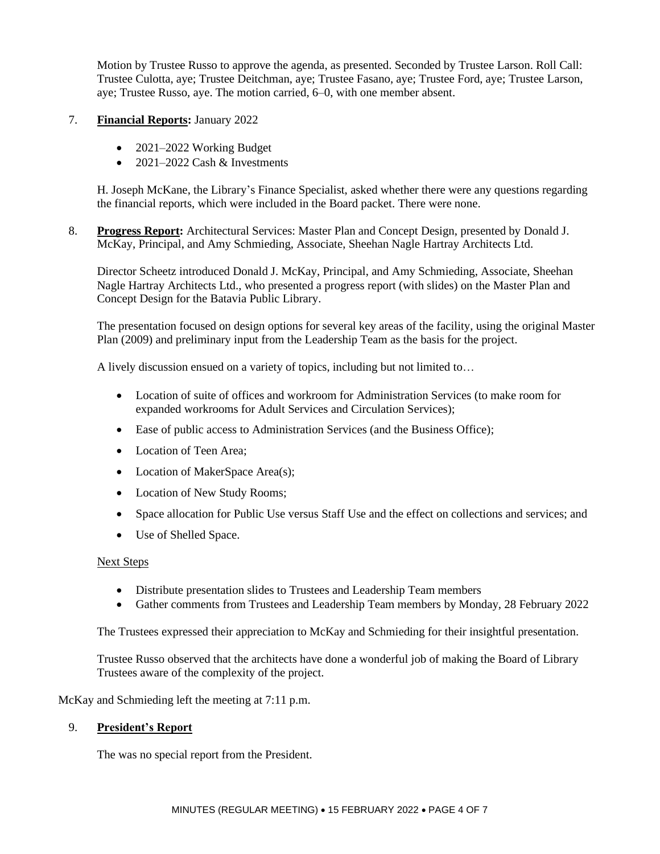Motion by Trustee Russo to approve the agenda, as presented. Seconded by Trustee Larson. Roll Call: Trustee Culotta, aye; Trustee Deitchman, aye; Trustee Fasano, aye; Trustee Ford, aye; Trustee Larson, aye; Trustee Russo, aye. The motion carried, 6–0, with one member absent.

#### 7. **Financial Reports:** January 2022

- 2021–2022 Working Budget
- $2021-2022$  Cash & Investments

H. Joseph McKane, the Library's Finance Specialist, asked whether there were any questions regarding the financial reports, which were included in the Board packet. There were none.

8. **Progress Report:** Architectural Services: Master Plan and Concept Design, presented by Donald J. McKay, Principal, and Amy Schmieding, Associate, Sheehan Nagle Hartray Architects Ltd.

Director Scheetz introduced Donald J. McKay, Principal, and Amy Schmieding, Associate, Sheehan Nagle Hartray Architects Ltd., who presented a progress report (with slides) on the Master Plan and Concept Design for the Batavia Public Library.

The presentation focused on design options for several key areas of the facility, using the original Master Plan (2009) and preliminary input from the Leadership Team as the basis for the project.

A lively discussion ensued on a variety of topics, including but not limited to…

- Location of suite of offices and workroom for Administration Services (to make room for expanded workrooms for Adult Services and Circulation Services);
- Ease of public access to Administration Services (and the Business Office);
- Location of Teen Area:
- Location of MakerSpace Area(s);
- Location of New Study Rooms;
- Space allocation for Public Use versus Staff Use and the effect on collections and services; and
- Use of Shelled Space.

#### **Next Steps**

- Distribute presentation slides to Trustees and Leadership Team members
- Gather comments from Trustees and Leadership Team members by Monday, 28 February 2022

The Trustees expressed their appreciation to McKay and Schmieding for their insightful presentation.

Trustee Russo observed that the architects have done a wonderful job of making the Board of Library Trustees aware of the complexity of the project.

McKay and Schmieding left the meeting at 7:11 p.m.

#### 9. **President's Report**

The was no special report from the President.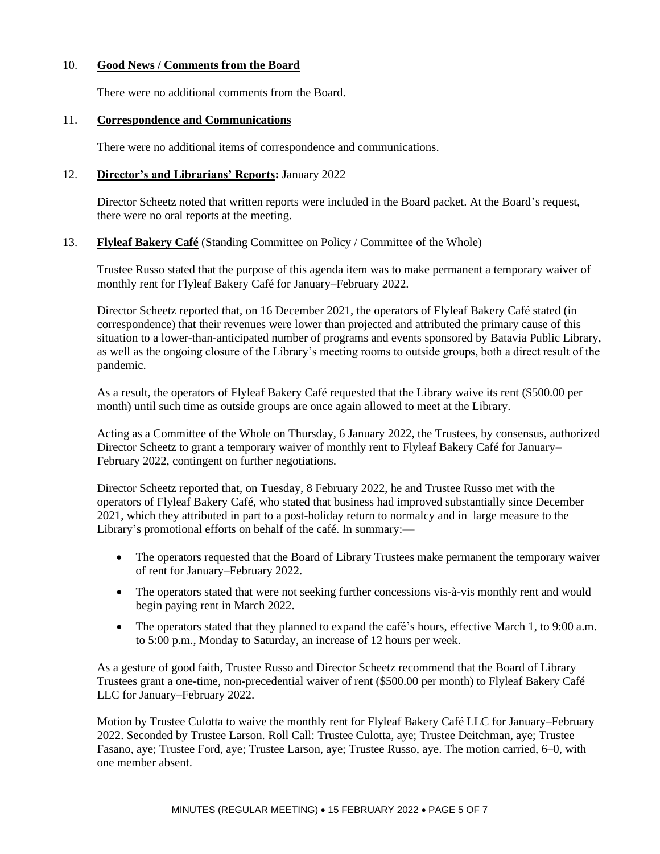### 10. **Good News / Comments from the Board**

There were no additional comments from the Board.

#### 11. **Correspondence and Communications**

There were no additional items of correspondence and communications.

#### 12. **Director's and Librarians' Reports:** January 2022

Director Scheetz noted that written reports were included in the Board packet. At the Board's request, there were no oral reports at the meeting.

#### 13. **Flyleaf Bakery Café** (Standing Committee on Policy / Committee of the Whole)

Trustee Russo stated that the purpose of this agenda item was to make permanent a temporary waiver of monthly rent for Flyleaf Bakery Café for January–February 2022.

Director Scheetz reported that, on 16 December 2021, the operators of Flyleaf Bakery Café stated (in correspondence) that their revenues were lower than projected and attributed the primary cause of this situation to a lower-than-anticipated number of programs and events sponsored by Batavia Public Library, as well as the ongoing closure of the Library's meeting rooms to outside groups, both a direct result of the pandemic.

As a result, the operators of Flyleaf Bakery Café requested that the Library waive its rent (\$500.00 per month) until such time as outside groups are once again allowed to meet at the Library.

Acting as a Committee of the Whole on Thursday, 6 January 2022, the Trustees, by consensus, authorized Director Scheetz to grant a temporary waiver of monthly rent to Flyleaf Bakery Café for January– February 2022, contingent on further negotiations.

Director Scheetz reported that, on Tuesday, 8 February 2022, he and Trustee Russo met with the operators of Flyleaf Bakery Café, who stated that business had improved substantially since December 2021, which they attributed in part to a post-holiday return to normalcy and in large measure to the Library's promotional efforts on behalf of the café. In summary:—

- The operators requested that the Board of Library Trustees make permanent the temporary waiver of rent for January–February 2022.
- The operators stated that were not seeking further concessions vis-à-vis monthly rent and would begin paying rent in March 2022.
- The operators stated that they planned to expand the café's hours, effective March 1, to 9:00 a.m. to 5:00 p.m., Monday to Saturday, an increase of 12 hours per week.

As a gesture of good faith, Trustee Russo and Director Scheetz recommend that the Board of Library Trustees grant a one-time, non-precedential waiver of rent (\$500.00 per month) to Flyleaf Bakery Café LLC for January–February 2022.

Motion by Trustee Culotta to waive the monthly rent for Flyleaf Bakery Café LLC for January–February 2022. Seconded by Trustee Larson. Roll Call: Trustee Culotta, aye; Trustee Deitchman, aye; Trustee Fasano, aye; Trustee Ford, aye; Trustee Larson, aye; Trustee Russo, aye. The motion carried, 6–0, with one member absent.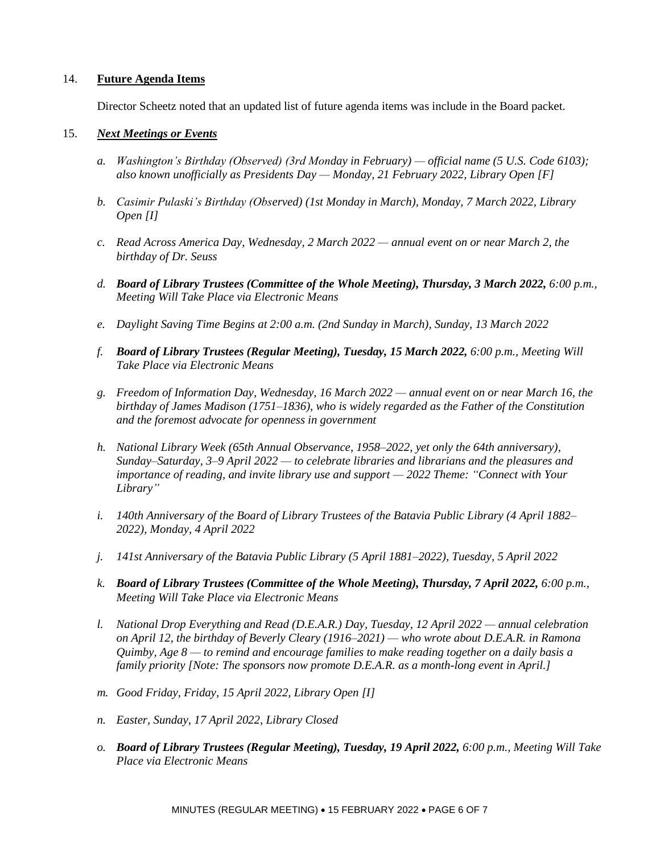#### 14. **Future Agenda Items**

Director Scheetz noted that an updated list of future agenda items was include in the Board packet.

#### 15. *Next Meetings or Events*

- *a. Washington's Birthday (Observed) (3rd Monday in February) — official name (5 U.S. Code 6103); also known unofficially as Presidents Day — Monday, 21 February 2022, Library Open [F]*
- *b. Casimir Pulaski's Birthday (Observed) (1st Monday in March), Monday, 7 March 2022, Library Open [I]*
- *c. Read Across America Day, Wednesday, 2 March 2022 — annual event on or near March 2, the birthday of Dr. Seuss*
- *d. Board of Library Trustees (Committee of the Whole Meeting), Thursday, 3 March 2022, 6:00 p.m., Meeting Will Take Place via Electronic Means*
- *e. Daylight Saving Time Begins at 2:00 a.m. (2nd Sunday in March), Sunday, 13 March 2022*
- *f. Board of Library Trustees (Regular Meeting), Tuesday, 15 March 2022, 6:00 p.m., Meeting Will Take Place via Electronic Means*
- *g. Freedom of Information Day, Wednesday, 16 March 2022 — annual event on or near March 16, the birthday of James Madison (1751–1836), who is widely regarded as the Father of the Constitution and the foremost advocate for openness in government*
- *h. National Library Week (65th Annual Observance, 1958–2022, yet only the 64th anniversary), Sunday–Saturday, 3–9 April 2022 — to celebrate libraries and librarians and the pleasures and importance of reading, and invite library use and support — 2022 Theme: "Connect with Your Library"*
- *i. 140th Anniversary of the Board of Library Trustees of the Batavia Public Library (4 April 1882– 2022), Monday, 4 April 2022*
- *j. 141st Anniversary of the Batavia Public Library (5 April 1881–2022), Tuesday, 5 April 2022*
- *k. Board of Library Trustees (Committee of the Whole Meeting), Thursday, 7 April 2022, 6:00 p.m., Meeting Will Take Place via Electronic Means*
- *l. National Drop Everything and Read (D.E.A.R.) Day, Tuesday, 12 April 2022 — annual celebration on April 12, the birthday of Beverly Cleary (1916–2021) — who wrote about D.E.A.R. in Ramona Quimby, Age 8 — to remind and encourage families to make reading together on a daily basis a family priority [Note: The sponsors now promote D.E.A.R. as a month-long event in April.]*
- *m. Good Friday, Friday, 15 April 2022, Library Open [I]*
- *n. Easter, Sunday, 17 April 2022, Library Closed*
- *o. Board of Library Trustees (Regular Meeting), Tuesday, 19 April 2022, 6:00 p.m., Meeting Will Take Place via Electronic Means*